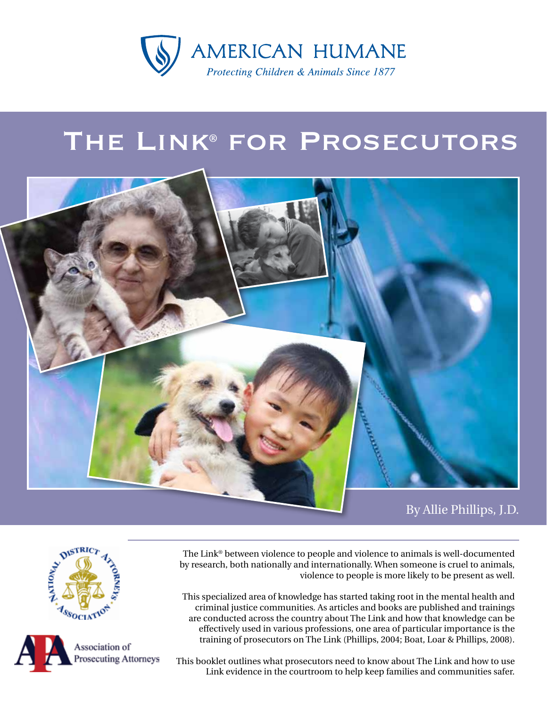

# The Link® for Prosecutors



By Allie Phillips, J.D.

The Link® between violence to people and violence to animals is well-documented by research, both nationally and internationally. When someone is cruel to animals, violence to people is more likely to be present as well.

This specialized area of knowledge has started taking root in the mental health and criminal justice communities. As articles and books are published and trainings are conducted across the country about The Link and how that knowledge can be effectively used in various professions, one area of particular importance is the training of prosecutors on The Link (Phillips, 2004; Boat, Loar & Phillips, 2008).

This booklet outlines what prosecutors need to know about The Link and how to use Link evidence in the courtroom to help keep families and communities safer.



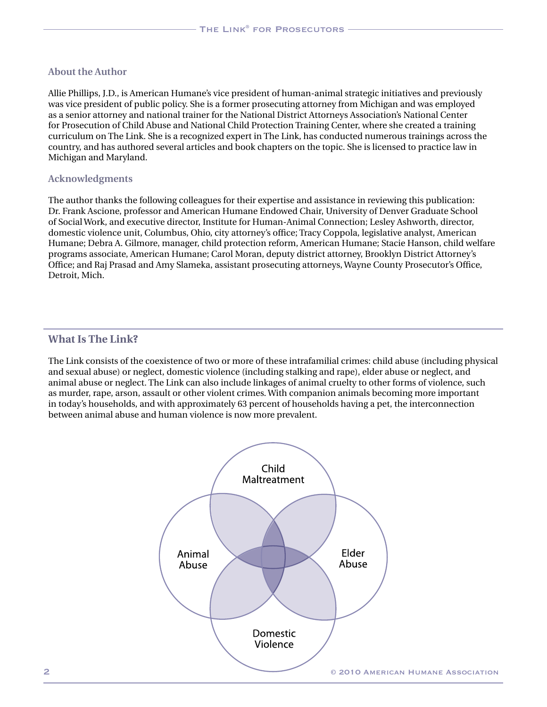#### **About the Author**

Allie Phillips, J.D., is American Humane's vice president of human-animal strategic initiatives and previously was vice president of public policy. She is a former prosecuting attorney from Michigan and was employed as a senior attorney and national trainer for the National District Attorneys Association's National Center for Prosecution of Child Abuse and National Child Protection Training Center, where she created a training curriculum on The Link. She is a recognized expert in The Link, has conducted numerous trainings across the country, and has authored several articles and book chapters on the topic. She is licensed to practice law in Michigan and Maryland.

#### **Acknowledgments**

The author thanks the following colleagues for their expertise and assistance in reviewing this publication: Dr. Frank Ascione, professor and American Humane Endowed Chair, University of Denver Graduate School of Social Work, and executive director, Institute for Human-Animal Connection; Lesley Ashworth, director, domestic violence unit, Columbus, Ohio, city attorney's office; Tracy Coppola, legislative analyst, American Humane; Debra A. Gilmore, manager, child protection reform, American Humane; Stacie Hanson, child welfare programs associate, American Humane; Carol Moran, deputy district attorney, Brooklyn District Attorney's Office; and Raj Prasad and Amy Slameka, assistant prosecuting attorneys, Wayne County Prosecutor's Office, Detroit, Mich.

## **What Is The Link?**

The Link consists of the coexistence of two or more of these intrafamilial crimes: child abuse (including physical and sexual abuse) or neglect, domestic violence (including stalking and rape), elder abuse or neglect, and animal abuse or neglect. The Link can also include linkages of animal cruelty to other forms of violence, such as murder, rape, arson, assault or other violent crimes. With companion animals becoming more important in today's households, and with approximately 63 percent of households having a pet, the interconnection between animal abuse and human violence is now more prevalent.

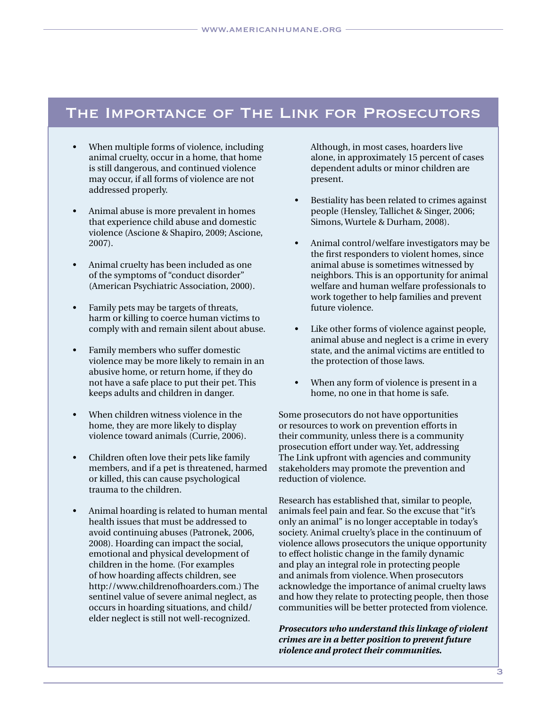## The Importance of The Link for Prosecutors

- When multiple forms of violence, including animal cruelty, occur in a home, that home is still dangerous, and continued violence may occur, if all forms of violence are not addressed properly.
- Animal abuse is more prevalent in homes that experience child abuse and domestic violence (Ascione & Shapiro, 2009; Ascione, 2007).
- • Animal cruelty has been included as one of the symptoms of "conduct disorder" (American Psychiatric Association, 2000).
- Family pets may be targets of threats, harm or killing to coerce human victims to comply with and remain silent about abuse.
- Family members who suffer domestic violence may be more likely to remain in an abusive home, or return home, if they do not have a safe place to put their pet. This keeps adults and children in danger.
- When children witness violence in the home, they are more likely to display violence toward animals (Currie, 2006).
- • Children often love their pets like family members, and if a pet is threatened, harmed or killed, this can cause psychological trauma to the children.
- Animal hoarding is related to human mental health issues that must be addressed to avoid continuing abuses (Patronek, 2006, 2008). Hoarding can impact the social, emotional and physical development of children in the home. (For examples of how hoarding affects children, see http://www.childrenofhoarders.com.) The sentinel value of severe animal neglect, as occurs in hoarding situations, and child/ elder neglect is still not well-recognized.

Although, in most cases, hoarders live alone, in approximately 15 percent of cases dependent adults or minor children are present.

- Bestiality has been related to crimes against people (Hensley, Tallichet & Singer, 2006; Simons, Wurtele & Durham, 2008).
- Animal control/welfare investigators may be the first responders to violent homes, since animal abuse is sometimes witnessed by neighbors. This is an opportunity for animal welfare and human welfare professionals to work together to help families and prevent future violence.
- Like other forms of violence against people, animal abuse and neglect is a crime in every state, and the animal victims are entitled to the protection of those laws.
- When any form of violence is present in a home, no one in that home is safe.

Some prosecutors do not have opportunities or resources to work on prevention efforts in their community, unless there is a community prosecution effort under way. Yet, addressing The Link upfront with agencies and community stakeholders may promote the prevention and reduction of violence.

Research has established that, similar to people, animals feel pain and fear. So the excuse that "it's only an animal" is no longer acceptable in today's society. Animal cruelty's place in the continuum of violence allows prosecutors the unique opportunity to effect holistic change in the family dynamic and play an integral role in protecting people and animals from violence. When prosecutors acknowledge the importance of animal cruelty laws and how they relate to protecting people, then those communities will be better protected from violence.

*Prosecutors who understand this linkage of violent crimes are in a better position to prevent future violence and protect their communities.*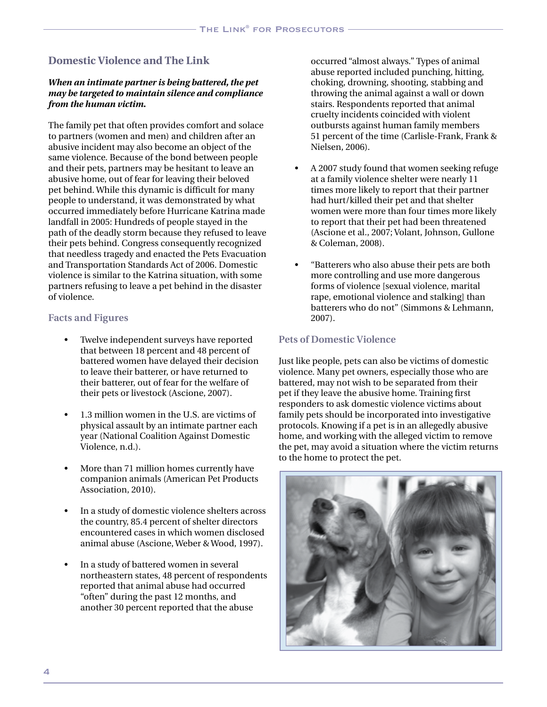## **Domestic Violence and The Link**

#### *When an intimate partner is being battered, the pet may be targeted to maintain silence and compliance from the human victim.*

The family pet that often provides comfort and solace to partners (women and men) and children after an abusive incident may also become an object of the same violence. Because of the bond between people and their pets, partners may be hesitant to leave an abusive home, out of fear for leaving their beloved pet behind. While this dynamic is difficult for many people to understand, it was demonstrated by what occurred immediately before Hurricane Katrina made landfall in 2005: Hundreds of people stayed in the path of the deadly storm because they refused to leave their pets behind. Congress consequently recognized that needless tragedy and enacted the Pets Evacuation and Transportation Standards Act of 2006. Domestic violence is similar to the Katrina situation, with some partners refusing to leave a pet behind in the disaster of violence.

## **Facts and Figures**

- Twelve independent surveys have reported that between 18 percent and 48 percent of battered women have delayed their decision to leave their batterer, or have returned to their batterer, out of fear for the welfare of their pets or livestock (Ascione, 2007).
- 1.3 million women in the U.S. are victims of physical assault by an intimate partner each year (National Coalition Against Domestic Violence, n.d.).
- More than 71 million homes currently have companion animals (American Pet Products Association, 2010).
- In a study of domestic violence shelters across the country, 85.4 percent of shelter directors encountered cases in which women disclosed animal abuse (Ascione, Weber & Wood, 1997).
- In a study of battered women in several northeastern states, 48 percent of respondents reported that animal abuse had occurred "often" during the past 12 months, and another 30 percent reported that the abuse

occurred "almost always." Types of animal abuse reported included punching, hitting, choking, drowning, shooting, stabbing and throwing the animal against a wall or down stairs. Respondents reported that animal cruelty incidents coincided with violent outbursts against human family members 51 percent of the time (Carlisle-Frank, Frank & Nielsen, 2006).

- A 2007 study found that women seeking refuge at a family violence shelter were nearly 11 times more likely to report that their partner had hurt/killed their pet and that shelter women were more than four times more likely to report that their pet had been threatened (Ascione et al., 2007; Volant, Johnson, Gullone & Coleman, 2008).
- "Batterers who also abuse their pets are both more controlling and use more dangerous forms of violence [sexual violence, marital rape, emotional violence and stalking] than batterers who do not" (Simmons & Lehmann, 2007).

## **Pets of Domestic Violence**

Just like people, pets can also be victims of domestic violence. Many pet owners, especially those who are battered, may not wish to be separated from their pet if they leave the abusive home. Training first responders to ask domestic violence victims about family pets should be incorporated into investigative protocols. Knowing if a pet is in an allegedly abusive home, and working with the alleged victim to remove the pet, may avoid a situation where the victim returns to the home to protect the pet.

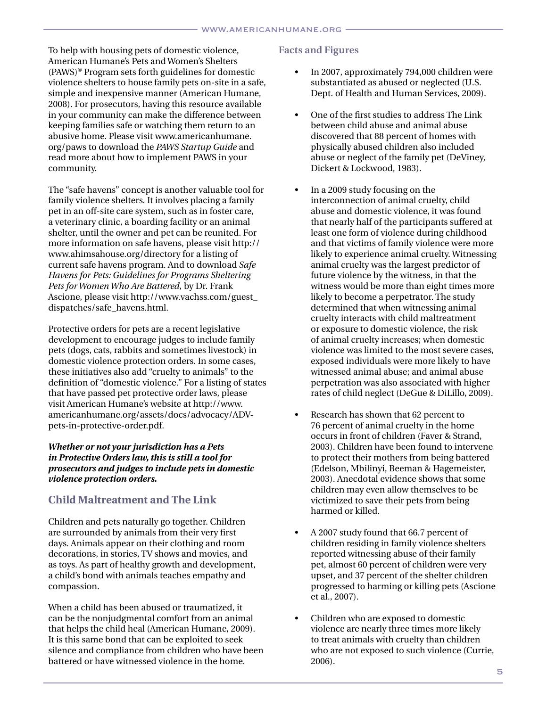To help with housing pets of domestic violence, American Humane's Pets and Women's Shelters (PAWS)® Program sets forth guidelines for domestic violence shelters to house family pets on-site in a safe, simple and inexpensive manner (American Humane, 2008). For prosecutors, having this resource available in your community can make the difference between keeping families safe or watching them return to an abusive home. Please visit www.americanhumane. org/paws to download the *PAWS Startup Guide* and read more about how to implement PAWS in your community.

The "safe havens" concept is another valuable tool for family violence shelters. It involves placing a family pet in an off-site care system, such as in foster care, a veterinary clinic, a boarding facility or an animal shelter, until the owner and pet can be reunited. For more information on safe havens, please visit http:// www.ahimsahouse.org/directory for a listing of current safe havens program. And to download *Safe Havens for Pets: Guidelines for Programs Sheltering Pets for Women Who Are Battered,* by Dr. Frank Ascione, please visit http://www.vachss.com/guest\_ dispatches/safe\_havens.html.

Protective orders for pets are a recent legislative development to encourage judges to include family pets (dogs, cats, rabbits and sometimes livestock) in domestic violence protection orders. In some cases, these initiatives also add "cruelty to animals" to the definition of "domestic violence." For a listing of states that have passed pet protective order laws, please visit American Humane's website at http://www. americanhumane.org/assets/docs/advocacy/ADVpets-in-protective-order.pdf.

#### *Whether or not your jurisdiction has a Pets in Protective Orders law, this is still a tool for prosecutors and judges to include pets in domestic violence protection orders.*

## **Child Maltreatment and The Link**

Children and pets naturally go together. Children are surrounded by animals from their very first days. Animals appear on their clothing and room decorations, in stories, TV shows and movies, and as toys. As part of healthy growth and development, a child's bond with animals teaches empathy and compassion.

When a child has been abused or traumatized, it can be the nonjudgmental comfort from an animal that helps the child heal (American Humane, 2009). It is this same bond that can be exploited to seek silence and compliance from children who have been battered or have witnessed violence in the home.

## **Facts and Figures**

- In 2007, approximately 794,000 children were substantiated as abused or neglected (U.S. Dept. of Health and Human Services, 2009).
- One of the first studies to address The Link between child abuse and animal abuse discovered that 88 percent of homes with physically abused children also included abuse or neglect of the family pet (DeViney, Dickert & Lockwood, 1983).
- In a 2009 study focusing on the interconnection of animal cruelty, child abuse and domestic violence, it was found that nearly half of the participants suffered at least one form of violence during childhood and that victims of family violence were more likely to experience animal cruelty. Witnessing animal cruelty was the largest predictor of future violence by the witness, in that the witness would be more than eight times more likely to become a perpetrator. The study determined that when witnessing animal cruelty interacts with child maltreatment or exposure to domestic violence, the risk of animal cruelty increases; when domestic violence was limited to the most severe cases, exposed individuals were more likely to have witnessed animal abuse; and animal abuse perpetration was also associated with higher rates of child neglect (DeGue & DiLillo, 2009).
- Research has shown that 62 percent to 76 percent of animal cruelty in the home occurs in front of children (Faver & Strand, 2003). Children have been found to intervene to protect their mothers from being battered (Edelson, Mbilinyi, Beeman & Hagemeister, 2003). Anecdotal evidence shows that some children may even allow themselves to be victimized to save their pets from being harmed or killed.
- • A 2007 study found that 66.7 percent of children residing in family violence shelters reported witnessing abuse of their family pet, almost 60 percent of children were very upset, and 37 percent of the shelter children progressed to harming or killing pets (Ascione et al., 2007).
- • Children who are exposed to domestic violence are nearly three times more likely to treat animals with cruelty than children who are not exposed to such violence (Currie, 2006).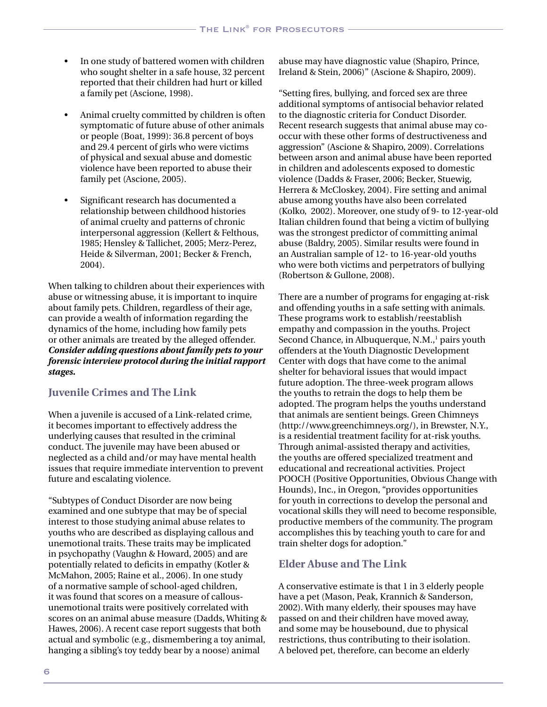- In one study of battered women with children who sought shelter in a safe house, 32 percent reported that their children had hurt or killed a family pet (Ascione, 1998).
- Animal cruelty committed by children is often symptomatic of future abuse of other animals or people (Boat, 1999): 36.8 percent of boys and 29.4 percent of girls who were victims of physical and sexual abuse and domestic violence have been reported to abuse their family pet (Ascione, 2005).
- Significant research has documented a relationship between childhood histories of animal cruelty and patterns of chronic interpersonal aggression (Kellert & Felthous, 1985; Hensley & Tallichet, 2005; Merz-Perez, Heide & Silverman, 2001; Becker & French, 2004).

When talking to children about their experiences with abuse or witnessing abuse, it is important to inquire about family pets. Children, regardless of their age, can provide a wealth of information regarding the dynamics of the home, including how family pets or other animals are treated by the alleged offender. *Consider adding questions about family pets to your forensic interview protocol during the initial rapport stages.*

## **Juvenile Crimes and The Link**

When a juvenile is accused of a Link-related crime, it becomes important to effectively address the underlying causes that resulted in the criminal conduct. The juvenile may have been abused or neglected as a child and/or may have mental health issues that require immediate intervention to prevent future and escalating violence.

"Subtypes of Conduct Disorder are now being examined and one subtype that may be of special interest to those studying animal abuse relates to youths who are described as displaying callous and unemotional traits. These traits may be implicated in psychopathy (Vaughn & Howard, 2005) and are potentially related to deficits in empathy (Kotler & McMahon, 2005; Raine et al., 2006). In one study of a normative sample of school-aged children, it was found that scores on a measure of callousunemotional traits were positively correlated with scores on an animal abuse measure (Dadds, Whiting & Hawes, 2006). A recent case report suggests that both actual and symbolic (e.g., dismembering a toy animal, hanging a sibling's toy teddy bear by a noose) animal

abuse may have diagnostic value (Shapiro, Prince, Ireland & Stein, 2006)" (Ascione & Shapiro, 2009).

"Setting fires, bullying, and forced sex are three additional symptoms of antisocial behavior related to the diagnostic criteria for Conduct Disorder. Recent research suggests that animal abuse may cooccur with these other forms of destructiveness and aggression" (Ascione & Shapiro, 2009). Correlations between arson and animal abuse have been reported in children and adolescents exposed to domestic violence (Dadds & Fraser, 2006; Becker, Stuewig, Herrera & McCloskey, 2004). Fire setting and animal abuse among youths have also been correlated (Kolko, 2002). Moreover, one study of 9- to 12-year-old Italian children found that being a victim of bullying was the strongest predictor of committing animal abuse (Baldry, 2005). Similar results were found in an Australian sample of 12- to 16-year-old youths who were both victims and perpetrators of bullying (Robertson & Gullone, 2008).

There are a number of programs for engaging at-risk and offending youths in a safe setting with animals. These programs work to establish/reestablish empathy and compassion in the youths. Project Second Chance, in Albuquerque, N.M.,<sup>1</sup> pairs youth offenders at the Youth Diagnostic Development Center with dogs that have come to the animal shelter for behavioral issues that would impact future adoption. The three-week program allows the youths to retrain the dogs to help them be adopted. The program helps the youths understand that animals are sentient beings. Green Chimneys (http://www.greenchimneys.org/), in Brewster, N.Y., is a residential treatment facility for at-risk youths. Through animal-assisted therapy and activities, the youths are offered specialized treatment and educational and recreational activities. Project POOCH (Positive Opportunities, Obvious Change with Hounds), Inc., in Oregon, "provides opportunities for youth in corrections to develop the personal and vocational skills they will need to become responsible, productive members of the community. The program accomplishes this by teaching youth to care for and train shelter dogs for adoption."

## **Elder Abuse and The Link**

A conservative estimate is that 1 in 3 elderly people have a pet (Mason, Peak, Krannich & Sanderson, 2002). With many elderly, their spouses may have passed on and their children have moved away, and some may be housebound, due to physical restrictions, thus contributing to their isolation. A beloved pet, therefore, can become an elderly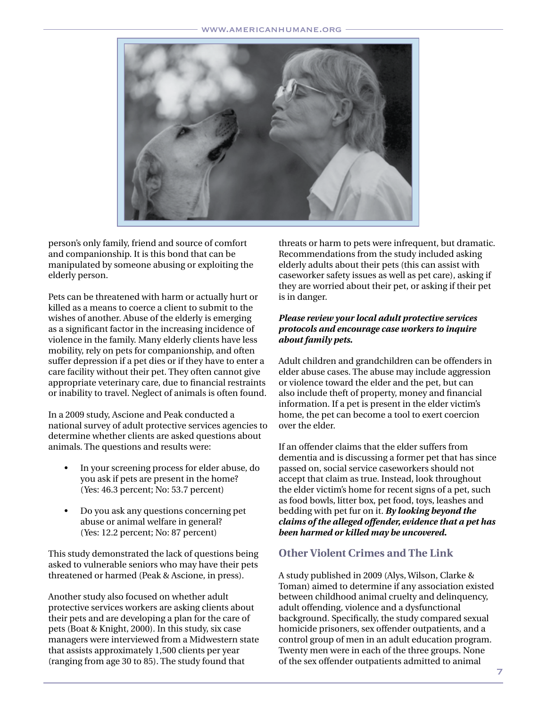

person's only family, friend and source of comfort and companionship. It is this bond that can be manipulated by someone abusing or exploiting the elderly person.

Pets can be threatened with harm or actually hurt or killed as a means to coerce a client to submit to the wishes of another. Abuse of the elderly is emerging as a significant factor in the increasing incidence of violence in the family. Many elderly clients have less mobility, rely on pets for companionship, and often suffer depression if a pet dies or if they have to enter a care facility without their pet. They often cannot give appropriate veterinary care, due to financial restraints or inability to travel. Neglect of animals is often found.

In a 2009 study, Ascione and Peak conducted a national survey of adult protective services agencies to determine whether clients are asked questions about animals. The questions and results were:

- In your screening process for elder abuse, do you ask if pets are present in the home? (Yes: 46.3 percent; No: 53.7 percent)
- Do you ask any questions concerning pet abuse or animal welfare in general? (Yes: 12.2 percent; No: 87 percent)

This study demonstrated the lack of questions being asked to vulnerable seniors who may have their pets threatened or harmed (Peak & Ascione, in press).

Another study also focused on whether adult protective services workers are asking clients about their pets and are developing a plan for the care of pets (Boat & Knight, 2000). In this study, six case managers were interviewed from a Midwestern state that assists approximately 1,500 clients per year (ranging from age 30 to 85). The study found that

threats or harm to pets were infrequent, but dramatic. Recommendations from the study included asking elderly adults about their pets (this can assist with caseworker safety issues as well as pet care), asking if they are worried about their pet, or asking if their pet is in danger.

#### *Please review your local adult protective services protocols and encourage case workers to inquire about family pets.*

Adult children and grandchildren can be offenders in elder abuse cases. The abuse may include aggression or violence toward the elder and the pet, but can also include theft of property, money and financial information. If a pet is present in the elder victim's home, the pet can become a tool to exert coercion over the elder.

If an offender claims that the elder suffers from dementia and is discussing a former pet that has since passed on, social service caseworkers should not accept that claim as true. Instead, look throughout the elder victim's home for recent signs of a pet, such as food bowls, litter box, pet food, toys, leashes and bedding with pet fur on it. *By looking beyond the claims of the alleged offender, evidence that a pet has been harmed or killed may be uncovered.*

## **Other Violent Crimes and The Link**

A study published in 2009 (Alys, Wilson, Clarke & Toman) aimed to determine if any association existed between childhood animal cruelty and delinquency, adult offending, violence and a dysfunctional background. Specifically, the study compared sexual homicide prisoners, sex offender outpatients, and a control group of men in an adult education program. Twenty men were in each of the three groups. None of the sex offender outpatients admitted to animal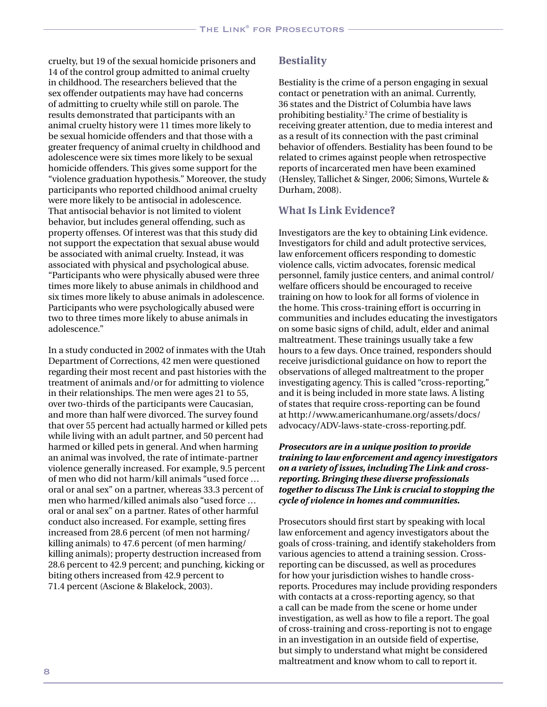cruelty, but 19 of the sexual homicide prisoners and 14 of the control group admitted to animal cruelty in childhood. The researchers believed that the sex offender outpatients may have had concerns of admitting to cruelty while still on parole. The results demonstrated that participants with an animal cruelty history were 11 times more likely to be sexual homicide offenders and that those with a greater frequency of animal cruelty in childhood and adolescence were six times more likely to be sexual homicide offenders. This gives some support for the "violence graduation hypothesis." Moreover, the study participants who reported childhood animal cruelty were more likely to be antisocial in adolescence. That antisocial behavior is not limited to violent behavior, but includes general offending, such as property offenses. Of interest was that this study did not support the expectation that sexual abuse would be associated with animal cruelty. Instead, it was associated with physical and psychological abuse. "Participants who were physically abused were three times more likely to abuse animals in childhood and six times more likely to abuse animals in adolescence. Participants who were psychologically abused were two to three times more likely to abuse animals in adolescence."

In a study conducted in 2002 of inmates with the Utah Department of Corrections, 42 men were questioned regarding their most recent and past histories with the treatment of animals and/or for admitting to violence in their relationships. The men were ages 21 to 55, over two-thirds of the participants were Caucasian, and more than half were divorced. The survey found that over 55 percent had actually harmed or killed pets while living with an adult partner, and 50 percent had harmed or killed pets in general. And when harming an animal was involved, the rate of intimate-partner violence generally increased. For example, 9.5 percent of men who did not harm/kill animals "used force … oral or anal sex" on a partner, whereas 33.3 percent of men who harmed/killed animals also "used force … oral or anal sex" on a partner. Rates of other harmful conduct also increased. For example, setting fires increased from 28.6 percent (of men not harming/ killing animals) to 47.6 percent (of men harming/ killing animals); property destruction increased from 28.6 percent to 42.9 percent; and punching, kicking or biting others increased from 42.9 percent to 71.4 percent (Ascione & Blakelock, 2003).

## **Bestiality**

Bestiality is the crime of a person engaging in sexual contact or penetration with an animal. Currently, 36 states and the District of Columbia have laws prohibiting bestiality.2 The crime of bestiality is receiving greater attention, due to media interest and as a result of its connection with the past criminal behavior of offenders. Bestiality has been found to be related to crimes against people when retrospective reports of incarcerated men have been examined (Hensley, Tallichet & Singer, 2006; Simons, Wurtele & Durham, 2008).

## **What Is Link Evidence?**

Investigators are the key to obtaining Link evidence. Investigators for child and adult protective services, law enforcement officers responding to domestic violence calls, victim advocates, forensic medical personnel, family justice centers, and animal control/ welfare officers should be encouraged to receive training on how to look for all forms of violence in the home. This cross-training effort is occurring in communities and includes educating the investigators on some basic signs of child, adult, elder and animal maltreatment. These trainings usually take a few hours to a few days. Once trained, responders should receive jurisdictional guidance on how to report the observations of alleged maltreatment to the proper investigating agency. This is called "cross-reporting," and it is being included in more state laws. A listing of states that require cross-reporting can be found at http://www.americanhumane.org/assets/docs/ advocacy/ADV-laws-state-cross-reporting.pdf.

#### *Prosecutors are in a unique position to provide training to law enforcement and agency investigators on a variety of issues, including The Link and crossreporting. Bringing these diverse professionals together to discuss The Link is crucial to stopping the cycle of violence in homes and communities.*

Prosecutors should first start by speaking with local law enforcement and agency investigators about the goals of cross-training, and identify stakeholders from various agencies to attend a training session. Crossreporting can be discussed, as well as procedures for how your jurisdiction wishes to handle crossreports. Procedures may include providing responders with contacts at a cross-reporting agency, so that a call can be made from the scene or home under investigation, as well as how to file a report. The goal of cross-training and cross-reporting is not to engage in an investigation in an outside field of expertise, but simply to understand what might be considered maltreatment and know whom to call to report it.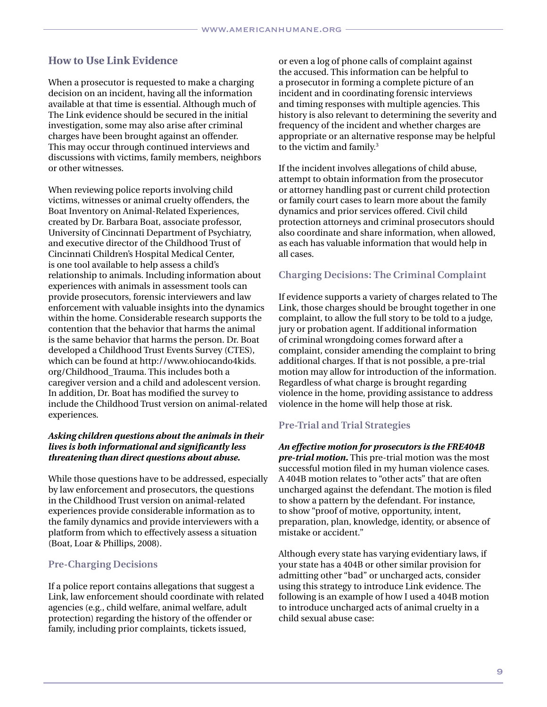## **How to Use Link Evidence**

When a prosecutor is requested to make a charging decision on an incident, having all the information available at that time is essential. Although much of The Link evidence should be secured in the initial investigation, some may also arise after criminal charges have been brought against an offender. This may occur through continued interviews and discussions with victims, family members, neighbors or other witnesses.

When reviewing police reports involving child victims, witnesses or animal cruelty offenders, the Boat Inventory on Animal-Related Experiences, created by Dr. Barbara Boat, associate professor, University of Cincinnati Department of Psychiatry, and executive director of the Childhood Trust of Cincinnati Children's Hospital Medical Center, is one tool available to help assess a child's relationship to animals. Including information about experiences with animals in assessment tools can provide prosecutors, forensic interviewers and law enforcement with valuable insights into the dynamics within the home. Considerable research supports the contention that the behavior that harms the animal is the same behavior that harms the person. Dr. Boat developed a Childhood Trust Events Survey (CTES), which can be found at http://www.ohiocando4kids. org/Childhood\_Trauma. This includes both a caregiver version and a child and adolescent version. In addition, Dr. Boat has modified the survey to include the Childhood Trust version on animal-related experiences.

#### *Asking children questions about the animals in their lives is both informational and significantly less threatening than direct questions about abuse.*

While those questions have to be addressed, especially by law enforcement and prosecutors, the questions in the Childhood Trust version on animal-related experiences provide considerable information as to the family dynamics and provide interviewers with a platform from which to effectively assess a situation (Boat, Loar & Phillips, 2008).

## **Pre-Charging Decisions**

If a police report contains allegations that suggest a Link, law enforcement should coordinate with related agencies (e.g., child welfare, animal welfare, adult protection) regarding the history of the offender or family, including prior complaints, tickets issued,

or even a log of phone calls of complaint against the accused. This information can be helpful to a prosecutor in forming a complete picture of an incident and in coordinating forensic interviews and timing responses with multiple agencies. This history is also relevant to determining the severity and frequency of the incident and whether charges are appropriate or an alternative response may be helpful to the victim and family.<sup>3</sup>

If the incident involves allegations of child abuse, attempt to obtain information from the prosecutor or attorney handling past or current child protection or family court cases to learn more about the family dynamics and prior services offered. Civil child protection attorneys and criminal prosecutors should also coordinate and share information, when allowed, as each has valuable information that would help in all cases.

## **Charging Decisions: The Criminal Complaint**

If evidence supports a variety of charges related to The Link, those charges should be brought together in one complaint, to allow the full story to be told to a judge, jury or probation agent. If additional information of criminal wrongdoing comes forward after a complaint, consider amending the complaint to bring additional charges. If that is not possible, a pre-trial motion may allow for introduction of the information. Regardless of what charge is brought regarding violence in the home, providing assistance to address violence in the home will help those at risk.

## **Pre-Trial and Trial Strategies**

*An effective motion for prosecutors is the FRE404B pre-trial motion.* This pre-trial motion was the most successful motion filed in my human violence cases. A 404B motion relates to "other acts" that are often uncharged against the defendant. The motion is filed to show a pattern by the defendant. For instance, to show "proof of motive, opportunity, intent, preparation, plan, knowledge, identity, or absence of mistake or accident."

Although every state has varying evidentiary laws, if your state has a 404B or other similar provision for admitting other "bad" or uncharged acts, consider using this strategy to introduce Link evidence. The following is an example of how I used a 404B motion to introduce uncharged acts of animal cruelty in a child sexual abuse case: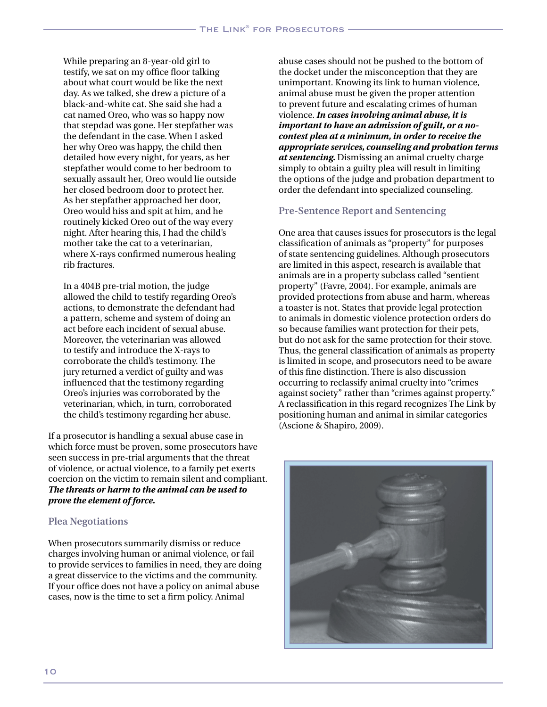While preparing an 8-year-old girl to testify, we sat on my office floor talking about what court would be like the next day. As we talked, she drew a picture of a black-and-white cat. She said she had a cat named Oreo, who was so happy now that stepdad was gone. Her stepfather was the defendant in the case. When I asked her why Oreo was happy, the child then detailed how every night, for years, as her stepfather would come to her bedroom to sexually assault her, Oreo would lie outside her closed bedroom door to protect her. As her stepfather approached her door, Oreo would hiss and spit at him, and he routinely kicked Oreo out of the way every night. After hearing this, I had the child's mother take the cat to a veterinarian, where X-rays confirmed numerous healing rib fractures.

In a 404B pre-trial motion, the judge allowed the child to testify regarding Oreo's actions, to demonstrate the defendant had a pattern, scheme and system of doing an act before each incident of sexual abuse. Moreover, the veterinarian was allowed to testify and introduce the X-rays to corroborate the child's testimony. The jury returned a verdict of guilty and was influenced that the testimony regarding Oreo's injuries was corroborated by the veterinarian, which, in turn, corroborated the child's testimony regarding her abuse.

If a prosecutor is handling a sexual abuse case in which force must be proven, some prosecutors have seen success in pre-trial arguments that the threat of violence, or actual violence, to a family pet exerts coercion on the victim to remain silent and compliant. *The threats or harm to the animal can be used to prove the element of force.* 

#### **Plea Negotiations**

When prosecutors summarily dismiss or reduce charges involving human or animal violence, or fail to provide services to families in need, they are doing a great disservice to the victims and the community. If your office does not have a policy on animal abuse cases, now is the time to set a firm policy. Animal

abuse cases should not be pushed to the bottom of the docket under the misconception that they are unimportant. Knowing its link to human violence, animal abuse must be given the proper attention to prevent future and escalating crimes of human violence. *In cases involving animal abuse, it is important to have an admission of guilt, or a nocontest plea at a minimum, in order to receive the appropriate services, counseling and probation terms at sentencing.* Dismissing an animal cruelty charge simply to obtain a guilty plea will result in limiting the options of the judge and probation department to order the defendant into specialized counseling.

## **Pre-Sentence Report and Sentencing**

One area that causes issues for prosecutors is the legal classification of animals as "property" for purposes of state sentencing guidelines. Although prosecutors are limited in this aspect, research is available that animals are in a property subclass called "sentient property" (Favre, 2004). For example, animals are provided protections from abuse and harm, whereas a toaster is not. States that provide legal protection to animals in domestic violence protection orders do so because families want protection for their pets, but do not ask for the same protection for their stove. Thus, the general classification of animals as property is limited in scope, and prosecutors need to be aware of this fine distinction. There is also discussion occurring to reclassify animal cruelty into "crimes against society" rather than "crimes against property." A reclassification in this regard recognizes The Link by positioning human and animal in similar categories (Ascione & Shapiro, 2009).

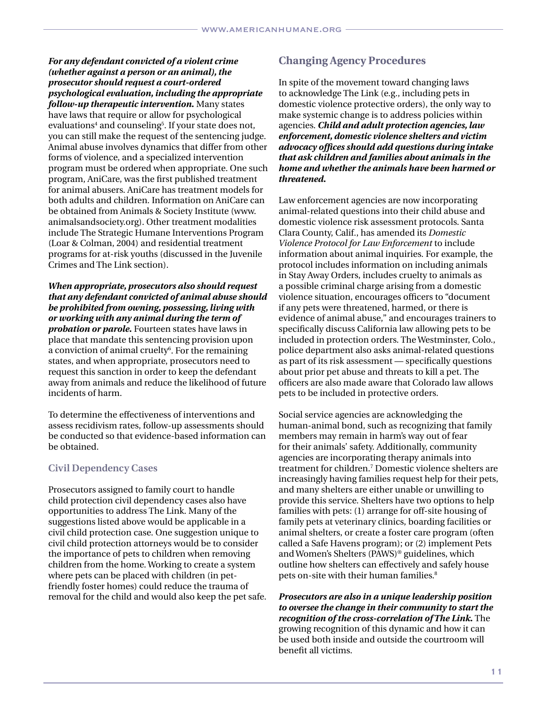*For any defendant convicted of a violent crime (whether against a person or an animal), the prosecutor should request a court-ordered psychological evaluation, including the appropriate follow-up therapeutic intervention.* Many states have laws that require or allow for psychological evaluations<sup>4</sup> and counseling<sup>5</sup>. If your state does not, you can still make the request of the sentencing judge. Animal abuse involves dynamics that differ from other forms of violence, and a specialized intervention program must be ordered when appropriate. One such program, AniCare, was the first published treatment for animal abusers. AniCare has treatment models for both adults and children. Information on AniCare can be obtained from Animals & Society Institute (www. animalsandsociety.org). Other treatment modalities include The Strategic Humane Interventions Program (Loar & Colman, 2004) and residential treatment programs for at-risk youths (discussed in the Juvenile Crimes and The Link section).

*When appropriate, prosecutors also should request that any defendant convicted of animal abuse should be prohibited from owning, possessing, living with or working with any animal during the term of probation or parole.* Fourteen states have laws in place that mandate this sentencing provision upon a conviction of animal cruelty<sup>6</sup>. For the remaining states, and when appropriate, prosecutors need to request this sanction in order to keep the defendant away from animals and reduce the likelihood of future incidents of harm.

To determine the effectiveness of interventions and assess recidivism rates, follow-up assessments should be conducted so that evidence-based information can be obtained.

## **Civil Dependency Cases**

Prosecutors assigned to family court to handle child protection civil dependency cases also have opportunities to address The Link. Many of the suggestions listed above would be applicable in a civil child protection case. One suggestion unique to civil child protection attorneys would be to consider the importance of pets to children when removing children from the home. Working to create a system where pets can be placed with children (in petfriendly foster homes) could reduce the trauma of removal for the child and would also keep the pet safe.

## **Changing Agency Procedures**

In spite of the movement toward changing laws to acknowledge The Link (e.g., including pets in domestic violence protective orders), the only way to make systemic change is to address policies within agencies. *Child and adult protection agencies, law enforcement, domestic violence shelters and victim advocacy offices should add questions during intake that ask children and families about animals in the home and whether the animals have been harmed or threatened.* 

Law enforcement agencies are now incorporating animal-related questions into their child abuse and domestic violence risk assessment protocols. Santa Clara County, Calif., has amended its *Domestic Violence Protocol for Law Enforcement* to include information about animal inquiries. For example, the protocol includes information on including animals in Stay Away Orders, includes cruelty to animals as a possible criminal charge arising from a domestic violence situation, encourages officers to "document if any pets were threatened, harmed, or there is evidence of animal abuse," and encourages trainers to specifically discuss California law allowing pets to be included in protection orders. The Westminster, Colo., police department also asks animal-related questions as part of its risk assessment — specifically questions about prior pet abuse and threats to kill a pet. The officers are also made aware that Colorado law allows pets to be included in protective orders.

Social service agencies are acknowledging the human-animal bond, such as recognizing that family members may remain in harm's way out of fear for their animals' safety. Additionally, community agencies are incorporating therapy animals into treatment for children.7 Domestic violence shelters are increasingly having families request help for their pets, and many shelters are either unable or unwilling to provide this service. Shelters have two options to help families with pets: (1) arrange for off-site housing of family pets at veterinary clinics, boarding facilities or animal shelters, or create a foster care program (often called a Safe Havens program); or (2) implement Pets and Women's Shelters (PAWS)® guidelines, which outline how shelters can effectively and safely house pets on-site with their human families.<sup>8</sup>

*Prosecutors are also in a unique leadership position to oversee the change in their community to start the recognition of the cross-correlation of The Link.* The growing recognition of this dynamic and how it can be used both inside and outside the courtroom will benefit all victims.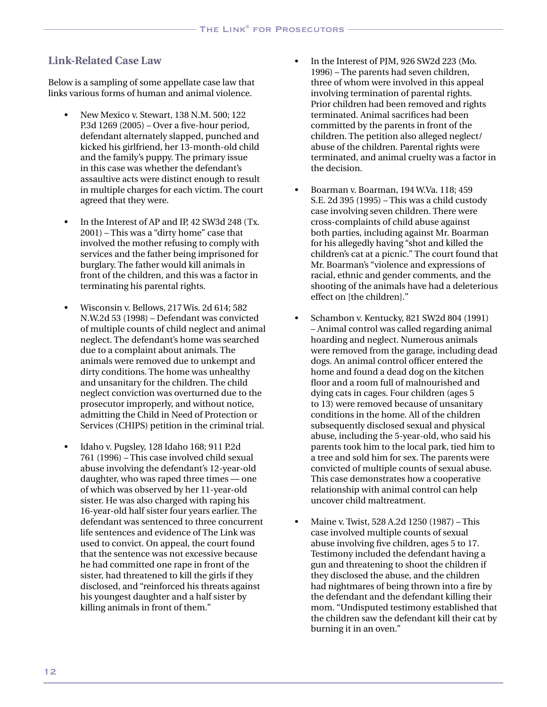## **Link-Related Case Law**

Below is a sampling of some appellate case law that links various forms of human and animal violence.

- New Mexico v. Stewart, 138 N.M. 500; 122 P.3d 1269 (2005) – Over a five-hour period, defendant alternately slapped, punched and kicked his girlfriend, her 13-month-old child and the family's puppy. The primary issue in this case was whether the defendant's assaultive acts were distinct enough to result in multiple charges for each victim. The court agreed that they were.
- In the Interest of AP and IP, 42 SW3d 248 (Tx. 2001) – This was a "dirty home" case that involved the mother refusing to comply with services and the father being imprisoned for burglary. The father would kill animals in front of the children, and this was a factor in terminating his parental rights.
- • Wisconsin v. Bellows, 217 Wis. 2d 614; 582 N.W.2d 53 (1998) – Defendant was convicted of multiple counts of child neglect and animal neglect. The defendant's home was searched due to a complaint about animals. The animals were removed due to unkempt and dirty conditions. The home was unhealthy and unsanitary for the children. The child neglect conviction was overturned due to the prosecutor improperly, and without notice, admitting the Child in Need of Protection or Services (CHIPS) petition in the criminal trial.
- Idaho v. Pugsley, 128 Idaho 168; 911 P.2d 761 (1996) – This case involved child sexual abuse involving the defendant's 12-year-old daughter, who was raped three times — one of which was observed by her 11-year-old sister. He was also charged with raping his 16-year-old half sister four years earlier. The defendant was sentenced to three concurrent life sentences and evidence of The Link was used to convict. On appeal, the court found that the sentence was not excessive because he had committed one rape in front of the sister, had threatened to kill the girls if they disclosed, and "reinforced his threats against his youngest daughter and a half sister by killing animals in front of them."
- In the Interest of PIM, 926 SW2d 223 (Mo. 1996) – The parents had seven children, three of whom were involved in this appeal involving termination of parental rights. Prior children had been removed and rights terminated. Animal sacrifices had been committed by the parents in front of the children. The petition also alleged neglect/ abuse of the children. Parental rights were terminated, and animal cruelty was a factor in the decision.
- Boarman v. Boarman, 194 W.Va. 118; 459 S.E. 2d 395 (1995) – This was a child custody case involving seven children. There were cross-complaints of child abuse against both parties, including against Mr. Boarman for his allegedly having "shot and killed the children's cat at a picnic." The court found that Mr. Boarman's "violence and expressions of racial, ethnic and gender comments, and the shooting of the animals have had a deleterious effect on [the children]."
- Schambon v. Kentucky, 821 SW2d 804 (1991) – Animal control was called regarding animal hoarding and neglect. Numerous animals were removed from the garage, including dead dogs. An animal control officer entered the home and found a dead dog on the kitchen floor and a room full of malnourished and dying cats in cages. Four children (ages 5 to 13) were removed because of unsanitary conditions in the home. All of the children subsequently disclosed sexual and physical abuse, including the 5-year-old, who said his parents took him to the local park, tied him to a tree and sold him for sex. The parents were convicted of multiple counts of sexual abuse. This case demonstrates how a cooperative relationship with animal control can help uncover child maltreatment.
- Maine v. Twist, 528 A.2d 1250 (1987) This case involved multiple counts of sexual abuse involving five children, ages 5 to 17. Testimony included the defendant having a gun and threatening to shoot the children if they disclosed the abuse, and the children had nightmares of being thrown into a fire by the defendant and the defendant killing their mom. "Undisputed testimony established that the children saw the defendant kill their cat by burning it in an oven."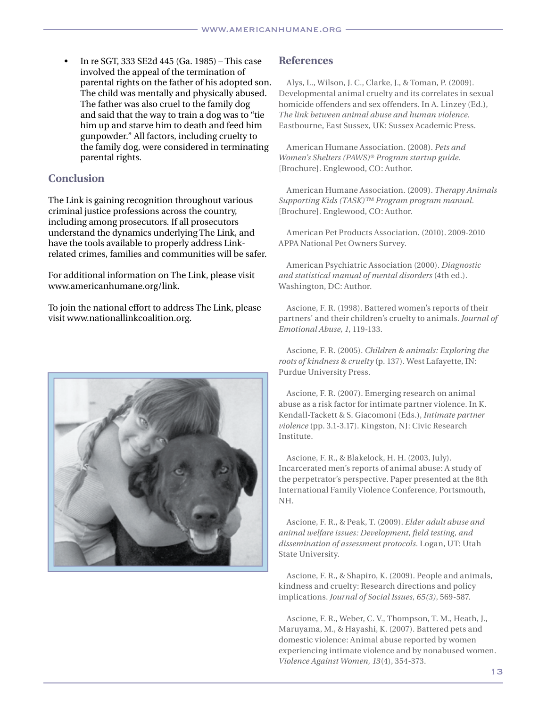In re SGT, 333 SE2d 445 (Ga. 1985) – This case involved the appeal of the termination of parental rights on the father of his adopted son. The child was mentally and physically abused. The father was also cruel to the family dog and said that the way to train a dog was to "tie him up and starve him to death and feed him gunpowder." All factors, including cruelty to the family dog, were considered in terminating parental rights.

## **Conclusion**

The Link is gaining recognition throughout various criminal justice professions across the country, including among prosecutors. If all prosecutors understand the dynamics underlying The Link, and have the tools available to properly address Linkrelated crimes, families and communities will be safer.

For additional information on The Link, please visit www.americanhumane.org/link.

To join the national effort to address The Link, please visit www.nationallinkcoalition.org.



## **References**

Alys, L., Wilson, J. C., Clarke, J., & Toman, P. (2009). Developmental animal cruelty and its correlates in sexual homicide offenders and sex offenders. In A. Linzey (Ed.), *The link between animal abuse and human violence.*  Eastbourne, East Sussex, UK: Sussex Academic Press.

American Humane Association. (2008). *Pets and Women's Shelters (PAWS)® Program startup guide.*  [Brochure]. Englewood, CO: Author.

American Humane Association. (2009). *Therapy Animals Supporting Kids (TASK)™ Program program manual.* [Brochure]. Englewood, CO: Author.

American Pet Products Association. (2010). 2009-2010 APPA National Pet Owners Survey.

American Psychiatric Association (2000). *Diagnostic and statistical manual of mental disorders* (4th ed.). Washington, DC: Author.

Ascione, F. R. (1998). Battered women's reports of their partners' and their children's cruelty to animals. *Journal of Emotional Abuse, 1*, 119-133.

Ascione, F. R. (2005). *Children & animals: Exploring the roots of kindness & cruelty* (p. 137). West Lafayette, IN: Purdue University Press.

Ascione, F. R. (2007). Emerging research on animal abuse as a risk factor for intimate partner violence. In K. Kendall-Tackett & S. Giacomoni (Eds.), *Intimate partner violence* (pp. 3.1-3.17). Kingston, NJ: Civic Research Institute.

Ascione, F. R., & Blakelock, H. H. (2003, July). Incarcerated men's reports of animal abuse: A study of the perpetrator's perspective. Paper presented at the 8th International Family Violence Conference, Portsmouth, NH.

Ascione, F. R., & Peak, T. (2009). *Elder adult abuse and animal welfare issues: Development, field testing, and dissemination of assessment protocols*. Logan, UT: Utah State University.

Ascione, F. R., & Shapiro, K. (2009). People and animals, kindness and cruelty: Research directions and policy implications. *Journal of Social Issues, 65(3)*, 569-587.

Ascione, F. R., Weber, C. V., Thompson, T. M., Heath, J., Maruyama, M., & Hayashi, K. (2007). Battered pets and domestic violence: Animal abuse reported by women experiencing intimate violence and by nonabused women. *Violence Against Women, 13*(4), 354-373.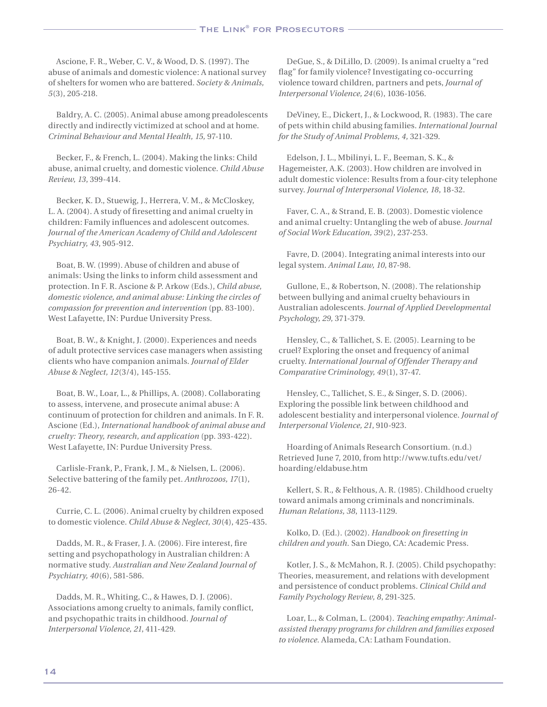Ascione, F. R., Weber, C. V., & Wood, D. S. (1997). The abuse of animals and domestic violence: A national survey of shelters for women who are battered. *Society & Animals, 5*(3), 205-218.

Baldry, A. C. (2005). Animal abuse among preadolescents directly and indirectly victimized at school and at home. *Criminal Behaviour and Mental Health, 15,* 97-110.

Becker, F., & French, L. (2004). Making the links: Child abuse, animal cruelty, and domestic violence. *Child Abuse Review, 13*, 399-414.

Becker, K. D., Stuewig, J., Herrera, V. M., & McCloskey, L. A. (2004). A study of firesetting and animal cruelty in children: Family influences and adolescent outcomes. *Journal of the American Academy of Child and Adolescent Psychiatry, 43*, 905-912.

Boat, B. W. (1999). Abuse of children and abuse of animals: Using the links to inform child assessment and protection. In F. R. Ascione & P. Arkow (Eds.), *Child abuse, domestic violence, and animal abuse: Linking the circles of compassion for prevention and intervention* (pp. 83-100). West Lafayette, IN: Purdue University Press.

Boat, B. W., & Knight, J. (2000). Experiences and needs of adult protective services case managers when assisting clients who have companion animals. *Journal of Elder Abuse & Neglect, 12*(3/4), 145-155.

Boat, B. W., Loar, L., & Phillips, A. (2008). Collaborating to assess, intervene, and prosecute animal abuse: A continuum of protection for children and animals. In F. R. Ascione (Ed.), *International handbook of animal abuse and cruelty: Theory, research, and application* (pp. 393-422). West Lafayette, IN: Purdue University Press.

Carlisle-Frank, P., Frank, J. M., & Nielsen, L. (2006). Selective battering of the family pet. *Anthrozoos, 17*(1), 26-42.

Currie, C. L. (2006). Animal cruelty by children exposed to domestic violence. *Child Abuse & Neglect, 30*(4), 425-435.

Dadds, M. R., & Fraser, J. A. (2006). Fire interest, fire setting and psychopathology in Australian children: A normative study. *Australian and New Zealand Journal of Psychiatry, 40*(6), 581-586.

Dadds, M. R., Whiting, C., & Hawes, D. J. (2006). Associations among cruelty to animals, family conflict, and psychopathic traits in childhood. *Journal of Interpersonal Violence, 21*, 411-429.

DeGue, S., & DiLillo, D. (2009). Is animal cruelty a "red flag" for family violence? Investigating co-occurring violence toward children, partners and pets, *Journal of Interpersonal Violence, 24*(6), 1036-1056.

DeViney, E., Dickert, J., & Lockwood, R. (1983). The care of pets within child abusing families. *International Journal for the Study of Animal Problems, 4,* 321-329.

Edelson, J. L., Mbilinyi, L. F., Beeman, S. K., & Hagemeister, A.K. (2003). How children are involved in adult domestic violence: Results from a four-city telephone survey. *Journal of Interpersonal Violence, 18*, 18-32.

Faver, C. A., & Strand, E. B. (2003). Domestic violence and animal cruelty: Untangling the web of abuse. *Journal of Social Work Education, 39*(2), 237-253.

Favre, D. (2004). Integrating animal interests into our legal system. *Animal Law, 10*, 87-98.

Gullone, E., & Robertson, N. (2008). The relationship between bullying and animal cruelty behaviours in Australian adolescents. *Journal of Applied Developmental Psychology, 29,* 371-379.

Hensley, C., & Tallichet, S. E. (2005). Learning to be cruel? Exploring the onset and frequency of animal cruelty. *International Journal of Offender Therapy and Comparative Criminology, 49*(1), 37-47.

Hensley, C., Tallichet, S. E., & Singer, S. D. (2006). Exploring the possible link between childhood and adolescent bestiality and interpersonal violence. *Journal of Interpersonal Violence, 21*, 910-923.

Hoarding of Animals Research Consortium. (n.d.) Retrieved June 7, 2010, from http://www.tufts.edu/vet/ hoarding/eldabuse.htm

Kellert, S. R., & Felthous, A. R. (1985). Childhood cruelty toward animals among criminals and noncriminals. *Human Relations, 38*, 1113-1129.

Kolko, D. (Ed.). (2002). *Handbook on firesetting in children and youth.* San Diego, CA: Academic Press.

Kotler, J. S., & McMahon, R. J. (2005). Child psychopathy: Theories, measurement, and relations with development and persistence of conduct problems. *Clinical Child and Family Psychology Review, 8*, 291-325.

Loar, L., & Colman, L. (2004). *Teaching empathy: Animalassisted therapy programs for children and families exposed to violence.* Alameda, CA: Latham Foundation.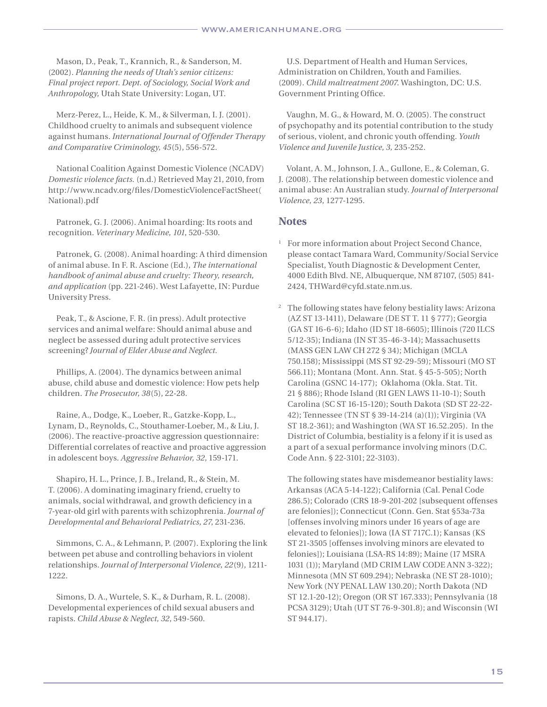Mason, D., Peak, T., Krannich, R., & Sanderson, M. (2002). *Planning the needs of Utah's senior citizens: Final project report. Dept. of Sociology, Social Work and Anthropology,* Utah State University: Logan, UT.

Merz-Perez, L., Heide, K. M., & Silverman, I. J. (2001). Childhood cruelty to animals and subsequent violence against humans. *International Journal of Offender Therapy and Comparative Criminology, 45*(5), 556-572.

National Coalition Against Domestic Violence (NCADV) *Domestic violence facts.* (n.d.) Retrieved May 21, 2010, from http://www.ncadv.org/files/DomesticViolenceFactSheet( National).pdf

Patronek, G. J. (2006). Animal hoarding: Its roots and recognition. *Veterinary Medicine, 101*, 520-530.

Patronek, G. (2008). Animal hoarding: A third dimension of animal abuse. In F. R. Ascione (Ed.), *The international handbook of animal abuse and cruelty: Theory, research, and application* (pp. 221-246). West Lafayette, IN: Purdue University Press.

Peak, T., & Ascione, F. R. (in press). Adult protective services and animal welfare: Should animal abuse and neglect be assessed during adult protective services screening? *Journal of Elder Abuse and Neglect.*

Phillips, A. (2004). The dynamics between animal abuse, child abuse and domestic violence: How pets help children. *The Prosecutor, 38*(5), 22-28.

Raine, A., Dodge, K., Loeber, R., Gatzke-Kopp, L., Lynam, D., Reynolds, C., Stouthamer-Loeber, M., & Liu, J. (2006). The reactive-proactive aggression questionnaire: Differential correlates of reactive and proactive aggression in adolescent boys. *Aggressive Behavior, 32*, 159-171.

Shapiro, H. L., Prince, J. B., Ireland, R., & Stein, M. T. (2006). A dominating imaginary friend, cruelty to animals, social withdrawal, and growth deficiency in a 7-year-old girl with parents with schizophrenia. *Journal of Developmental and Behavioral Pediatrics, 27*, 231-236.

Simmons, C. A., & Lehmann, P. (2007). Exploring the link between pet abuse and controlling behaviors in violent relationships. *Journal of Interpersonal Violence, 22*(9), 1211- 1222.

Simons, D. A., Wurtele, S. K., & Durham, R. L. (2008). Developmental experiences of child sexual abusers and rapists. *Child Abuse & Neglect, 32*, 549-560.

U.S. Department of Health and Human Services, Administration on Children, Youth and Families. (2009). *Child maltreatment 2007*. Washington, DC: U.S. Government Printing Office.

Vaughn, M. G., & Howard, M. O. (2005). The construct of psychopathy and its potential contribution to the study of serious, violent, and chronic youth offending. *Youth Violence and Juvenile Justice, 3,* 235-252.

Volant, A. M., Johnson, J. A., Gullone, E., & Coleman, G. J. (2008). The relationship between domestic violence and animal abuse: An Australian study. *Journal of Interpersonal Violence, 23*, 1277-1295.

#### **Notes**

- <sup>1</sup> For more information about Project Second Chance, please contact Tamara Ward, Community/Social Service Specialist, Youth Diagnostic & Development Center, 4000 Edith Blvd. NE, Albuquerque, NM 87107, (505) 841- 2424, THWard@cyfd.state.nm.us.
- <sup>2</sup> The following states have felony bestiality laws: Arizona (AZ ST 13-1411), Delaware (DE ST T. 11 § 777); Georgia (GA ST 16-6-6); Idaho (ID ST 18-6605); Illinois (720 ILCS 5/12-35); Indiana (IN ST 35-46-3-14); Massachusetts (MASS GEN LAW CH 272 § 34); Michigan (MCLA 750.158); Mississippi (MS ST 92-29-59); Missouri (MO ST 566.11); Montana (Mont. Ann. Stat. § 45-5-505); North Carolina (GSNC 14-177); Oklahoma (Okla. Stat. Tit. 21 § 886); Rhode Island (RI GEN LAWS 11-10-1); South Carolina (SC ST 16-15-120); South Dakota (SD ST 22-22- 42); Tennessee (TN ST § 39-14-214 (a)(1)); Virginia (VA ST 18.2-361); and Washington (WA ST 16.52.205). In the District of Columbia, bestiality is a felony if it is used as a part of a sexual performance involving minors (D.C. Code Ann. § 22-3101; 22-3103).

The following states have misdemeanor bestiality laws: Arkansas (ACA 5-14-122); California (Cal. Penal Code 286.5); Colorado (CRS 18-9-201-202 [subsequent offenses are felonies]); Connecticut (Conn. Gen. Stat §53a-73a [offenses involving minors under 16 years of age are elevated to felonies]); Iowa (IA ST 717C.1); Kansas (KS ST 21-3505 [offenses involving minors are elevated to felonies]); Louisiana (LSA-RS 14:89); Maine (17 MSRA 1031 (1)); Maryland (MD CRIM LAW CODE ANN 3-322); Minnesota (MN ST 609.294); Nebraska (NE ST 28-1010); New York (NY PENAL LAW 130.20); North Dakota (ND ST 12.1-20-12); Oregon (OR ST 167.333); Pennsylvania (18 PCSA 3129); Utah (UT ST 76-9-301.8); and Wisconsin (WI ST 944.17).